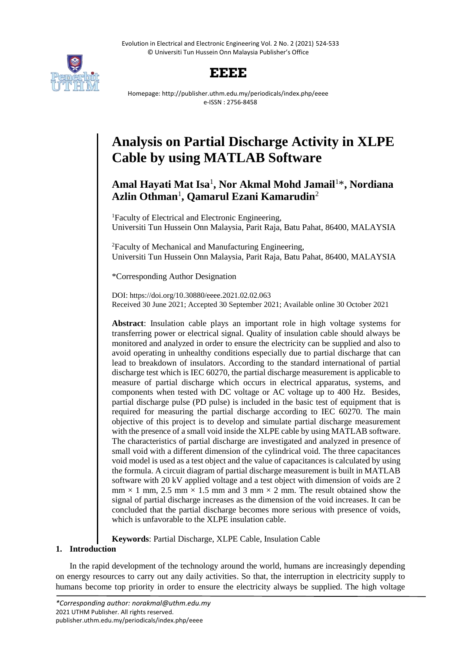Evolution in Electrical and Electronic Engineering Vol. 2 No. 2 (2021) 524-533 © Universiti Tun Hussein Onn Malaysia Publisher's Office



## **EEEE**

Homepage: http://publisher.uthm.edu.my/periodicals/index.php/eeee e-ISSN : 2756-8458

# **Analysis on Partial Discharge Activity in XLPE Cable by using MATLAB Software**

## **Amal Hayati Mat Isa**<sup>1</sup> **, Nor Akmal Mohd Jamail**<sup>1</sup>\***, Nordiana Azlin Othman**<sup>1</sup> **, Qamarul Ezani Kamarudin**<sup>2</sup>

<sup>1</sup>Faculty of Electrical and Electronic Engineering, Universiti Tun Hussein Onn Malaysia, Parit Raja, Batu Pahat, 86400, MALAYSIA

<sup>2</sup>Faculty of Mechanical and Manufacturing Engineering, Universiti Tun Hussein Onn Malaysia, Parit Raja, Batu Pahat, 86400, MALAYSIA

\*Corresponding Author Designation

DOI: https://doi.org/10.30880/eeee.2021.02.02.063 Received 30 June 2021; Accepted 30 September 2021; Available online 30 October 2021

**Abstract**: Insulation cable plays an important role in high voltage systems for transferring power or electrical signal. Quality of insulation cable should always be monitored and analyzed in order to ensure the electricity can be supplied and also to avoid operating in unhealthy conditions especially due to partial discharge that can lead to breakdown of insulators. According to the standard international of partial discharge test which is IEC 60270, the partial discharge measurement is applicable to measure of partial discharge which occurs in electrical apparatus, systems, and components when tested with DC voltage or AC voltage up to 400 Hz. Besides, partial discharge pulse (PD pulse) is included in the basic test of equipment that is required for measuring the partial discharge according to IEC 60270. The main objective of this project is to develop and simulate partial discharge measurement with the presence of a small void inside the XLPE cable by using MATLAB software. The characteristics of partial discharge are investigated and analyzed in presence of small void with a different dimension of the cylindrical void. The three capacitances void model is used as a test object and the value of capacitances is calculated by using the formula. A circuit diagram of partial discharge measurement is built in MATLAB software with 20 kV applied voltage and a test object with dimension of voids are 2  $mm \times 1 mm$ , 2.5 mm  $\times 1.5 mm$  and 3 mm  $\times 2 mm$ . The result obtained show the signal of partial discharge increases as the dimension of the void increases. It can be concluded that the partial discharge becomes more serious with presence of voids, which is unfavorable to the XLPE insulation cable.

**Keywords**: Partial Discharge, XLPE Cable, Insulation Cable

### **1. Introduction**

In the rapid development of the technology around the world, humans are increasingly depending on energy resources to carry out any daily activities. So that, the interruption in electricity supply to humans become top priority in order to ensure the electricity always be supplied. The high voltage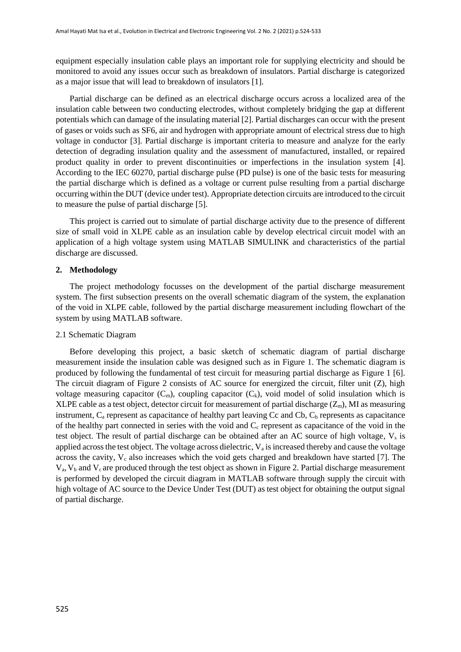equipment especially insulation cable plays an important role for supplying electricity and should be monitored to avoid any issues occur such as breakdown of insulators. Partial discharge is categorized as a major issue that will lead to breakdown of insulators [1].

Partial discharge can be defined as an electrical discharge occurs across a localized area of the insulation cable between two conducting electrodes, without completely bridging the gap at different potentials which can damage of the insulating material [2]. Partial discharges can occur with the present of gases or voids such as SF6, air and hydrogen with appropriate amount of electrical stress due to high voltage in conductor [3]. Partial discharge is important criteria to measure and analyze for the early detection of degrading insulation quality and the assessment of manufactured, installed, or repaired product quality in order to prevent discontinuities or imperfections in the insulation system [4]. According to the IEC 60270, partial discharge pulse (PD pulse) is one of the basic tests for measuring the partial discharge which is defined as a voltage or current pulse resulting from a partial discharge occurring within the DUT (device under test). Appropriate detection circuits are introduced to the circuit to measure the pulse of partial discharge [5].

This project is carried out to simulate of partial discharge activity due to the presence of different size of small void in XLPE cable as an insulation cable by develop electrical circuit model with an application of a high voltage system using MATLAB SIMULINK and characteristics of the partial discharge are discussed.

#### **2. Methodology**

The project methodology focusses on the development of the partial discharge measurement system. The first subsection presents on the overall schematic diagram of the system, the explanation of the void in XLPE cable, followed by the partial discharge measurement including flowchart of the system by using MATLAB software.

#### 2.1 Schematic Diagram

Before developing this project, a basic sketch of schematic diagram of partial discharge measurement inside the insulation cable was designed such as in Figure 1. The schematic diagram is produced by following the fundamental of test circuit for measuring partial discharge as Figure 1 [6]. The circuit diagram of Figure 2 consists of AC source for energized the circuit, filter unit (Z), high voltage measuring capacitor  $(C_m)$ , coupling capacitor  $(C_k)$ , void model of solid insulation which is XLPE cable as a test object, detector circuit for measurement of partial discharge  $(Z_m)$ , MI as measuring instrument,  $C_a$  represent as capacitance of healthy part leaving Cc and Cb,  $C_b$  represents as capacitance of the healthy part connected in series with the void and  $C_c$  represent as capacitance of the void in the test object. The result of partial discharge can be obtained after an AC source of high voltage,  $V_s$  is applied across the test object. The voltage across dielectric,  $V_a$  is increased thereby and cause the voltage across the cavity,  $V_c$  also increases which the void gets charged and breakdown have started [7]. The  $V_a$ ,  $V_b$  and  $V_c$  are produced through the test object as shown in Figure 2. Partial discharge measurement is performed by developed the circuit diagram in MATLAB software through supply the circuit with high voltage of AC source to the Device Under Test (DUT) as test object for obtaining the output signal of partial discharge.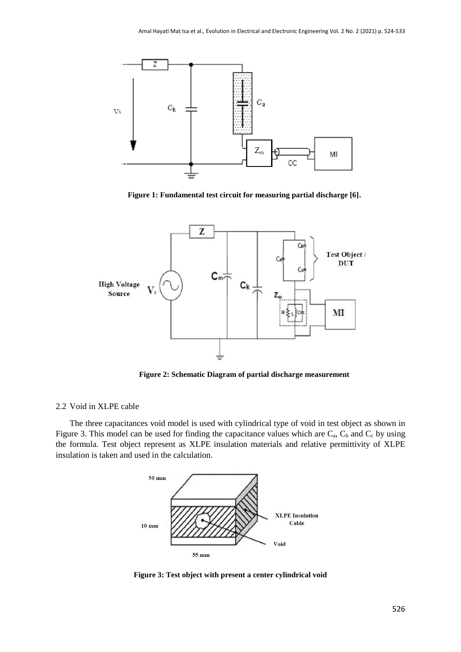

**Figure 1: Fundamental test circuit for measuring partial discharge [6].**



**Figure 2: Schematic Diagram of partial discharge measurement**

#### 2.2 Void in XLPE cable

The three capacitances void model is used with cylindrical type of void in test object as shown in Figure 3. This model can be used for finding the capacitance values which are  $C_a$ ,  $C_b$  and  $C_c$  by using the formula. Test object represent as XLPE insulation materials and relative permittivity of XLPE insulation is taken and used in the calculation.



**Figure 3: Test object with present a center cylindrical void**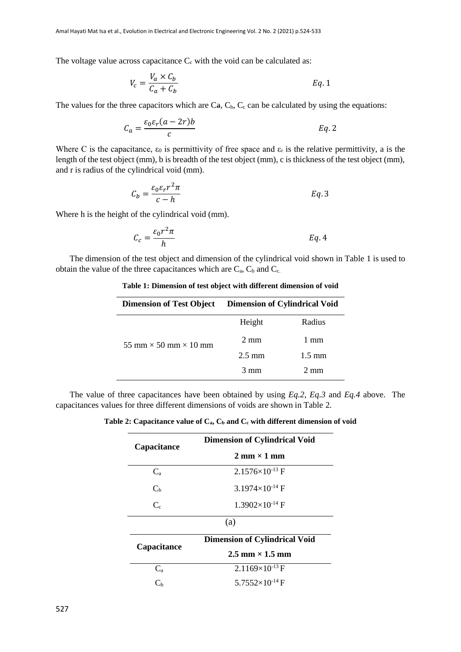The voltage value across capacitance  $C_c$  with the void can be calculated as:

$$
V_c = \frac{V_a \times C_b}{C_a + C_b} \qquad Eq. 1
$$

The values for the three capacitors which are  $Ca, C_b, C_c$  can be calculated by using the equations:

$$
C_a = \frac{\varepsilon_0 \varepsilon_r (a - 2r)b}{c} \qquad \qquad Eq. 2
$$

Where C is the capacitance,  $\varepsilon_0$  is permittivity of free space and  $\varepsilon_r$  is the relative permittivity, a is the length of the test object (mm), b is breadth of the test object (mm), c is thickness of the test object (mm), and r is radius of the cylindrical void (mm).

$$
C_b = \frac{\varepsilon_0 \varepsilon_r r^2 \pi}{c - h}
$$
 Eq. 3

Where h is the height of the cylindrical void (mm).

$$
C_c = \frac{\varepsilon_0 r^2 \pi}{h}
$$
 Eq. 4

The dimension of the test object and dimension of the cylindrical void shown in Table 1 is used to obtain the value of the three capacitances which are  $C_a$ ,  $C_b$  and  $C_c$ .

**Table 1: Dimension of test object with different dimension of void**

|                                     | Dimension of Test Object Dimension of Cylindrical Void |                  |
|-------------------------------------|--------------------------------------------------------|------------------|
|                                     | Height                                                 | Radius           |
| 55 mm $\times$ 50 mm $\times$ 10 mm | $2 \text{ mm}$                                         | 1 mm             |
|                                     | $2.5 \text{ mm}$                                       | $1.5 \text{ mm}$ |
|                                     | $3 \text{ mm}$                                         | $2 \text{ mm}$   |

The value of three capacitances have been obtained by using *Eq.2*, *Eq.3* and *Eq.4* above. The capacitances values for three different dimensions of voids are shown in Table 2.

**Table 2: Capacitance value of Ca, C<sup>b</sup> and C<sup>c</sup> with different dimension of void**

| Capacitance    | <b>Dimension of Cylindrical Void</b> |  |  |
|----------------|--------------------------------------|--|--|
|                | $2 \text{ mm} \times 1 \text{ mm}$   |  |  |
| $C_{\rm a}$    | $2.1576\times10^{-13}$ F             |  |  |
| C <sub>b</sub> | 3.1974 $\times$ 10 <sup>-14</sup> F  |  |  |
| $C_c$          | $1.3902\times10^{-14}$ F             |  |  |
| (a)            |                                      |  |  |
|                |                                      |  |  |
|                | <b>Dimension of Cylindrical Void</b> |  |  |
| Capacitance    | $2.5$ mm $\times$ 1.5 mm             |  |  |
| $C_{a}$        | $2.1169\times10^{-13}$ F             |  |  |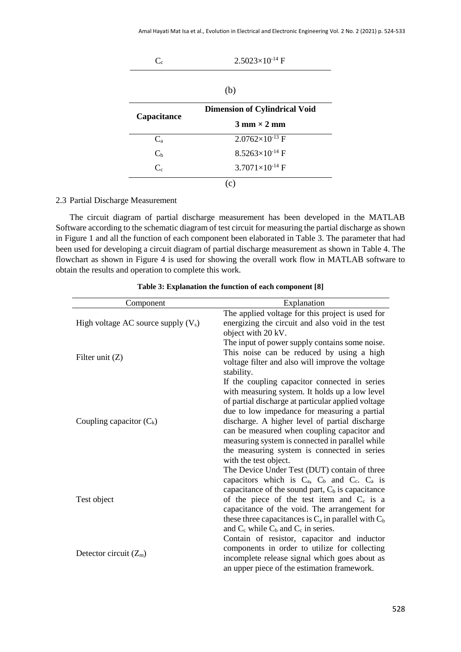| $C_c$       | $2.5023\times10^{-14}$ F             |  |
|-------------|--------------------------------------|--|
|             | (b)                                  |  |
| Capacitance | <b>Dimension of Cylindrical Void</b> |  |
|             | $3 \text{ mm} \times 2 \text{ mm}$   |  |
| $C_{a}$     | $2.0762\times10^{-13}$ F             |  |
| $C_{b}$     | $8.5263\times10^{-14}$ F             |  |
| $C_{c}$     | $3.7071\times10^{-14}$ F             |  |
|             | $\left( c\right)$                    |  |

#### 2.3 Partial Discharge Measurement

The circuit diagram of partial discharge measurement has been developed in the MATLAB Software according to the schematic diagram of test circuit for measuring the partial discharge as shown in Figure 1 and all the function of each component been elaborated in Table 3. The parameter that had been used for developing a circuit diagram of partial discharge measurement as shown in Table 4. The flowchart as shown in Figure 4 is used for showing the overall work flow in MATLAB software to obtain the results and operation to complete this work.

| Component                             | Explanation                                                                                                                                                                                                                                                                                                                                                                                                                       |  |
|---------------------------------------|-----------------------------------------------------------------------------------------------------------------------------------------------------------------------------------------------------------------------------------------------------------------------------------------------------------------------------------------------------------------------------------------------------------------------------------|--|
| High voltage AC source supply $(V_s)$ | The applied voltage for this project is used for<br>energizing the circuit and also void in the test<br>object with 20 kV.                                                                                                                                                                                                                                                                                                        |  |
| Filter unit $(Z)$                     | The input of power supply contains some noise.<br>This noise can be reduced by using a high<br>voltage filter and also will improve the voltage<br>stability.                                                                                                                                                                                                                                                                     |  |
| Coupling capacitor $(C_k)$            | If the coupling capacitor connected in series<br>with measuring system. It holds up a low level<br>of partial discharge at particular applied voltage<br>due to low impedance for measuring a partial<br>discharge. A higher level of partial discharge<br>can be measured when coupling capacitor and<br>measuring system is connected in parallel while<br>the measuring system is connected in series<br>with the test object. |  |
| Test object                           | The Device Under Test (DUT) contain of three<br>capacitors which is $C_a$ , $C_b$ and $C_c$ . $C_a$ is<br>capacitance of the sound part, $C_b$ is capacitance<br>of the piece of the test item and C <sub>c</sub> is a<br>capacitance of the void. The arrangement for<br>these three capacitances is $C_a$ in parallel with $C_b$<br>and $C_c$ while $C_b$ and $C_c$ in series.                                                  |  |
| Detector circuit $(Z_m)$              | Contain of resistor, capacitor and inductor<br>components in order to utilize for collecting<br>incomplete release signal which goes about as<br>an upper piece of the estimation framework.                                                                                                                                                                                                                                      |  |

**Table 3: Explanation the function of each component [8]**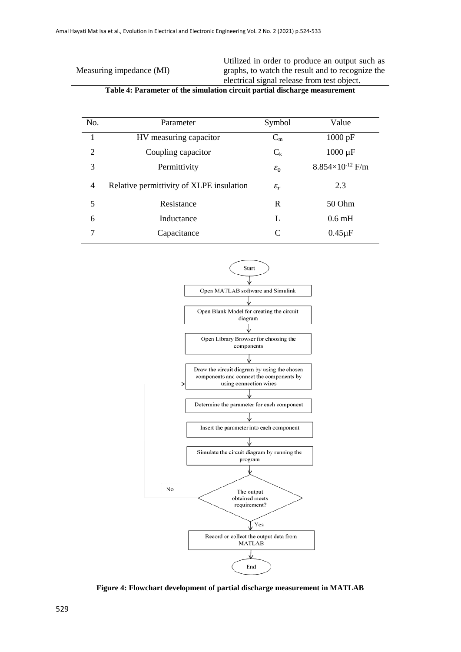Measuring impedance (MI) Utilized in order to produce an output such as graphs, to watch the result and to recognize the electrical signal release from test object. **Table 4: Parameter of the simulation circuit partial discharge measurement**

| No.            | Parameter                                | Symbol          | Value                     |
|----------------|------------------------------------------|-----------------|---------------------------|
| $\mathbf{1}$   | HV measuring capacitor                   | $C_m$           | 1000 pF                   |
| 2              | Coupling capacitor                       | $C_{k}$         | $1000 \mu F$              |
| 3              | Permittivity                             | $\varepsilon_0$ | $8.854\times10^{-12}$ F/m |
| $\overline{4}$ | Relative permittivity of XLPE insulation | $\varepsilon_r$ | 2.3                       |
| 5              | Resistance                               | R               | 50 Ohm                    |
| 6              | Inductance                               | L               | $0.6 \text{ mH}$          |
| 7              | Capacitance                              |                 | $0.45 \mu F$              |



**Figure 4: Flowchart development of partial discharge measurement in MATLAB**

529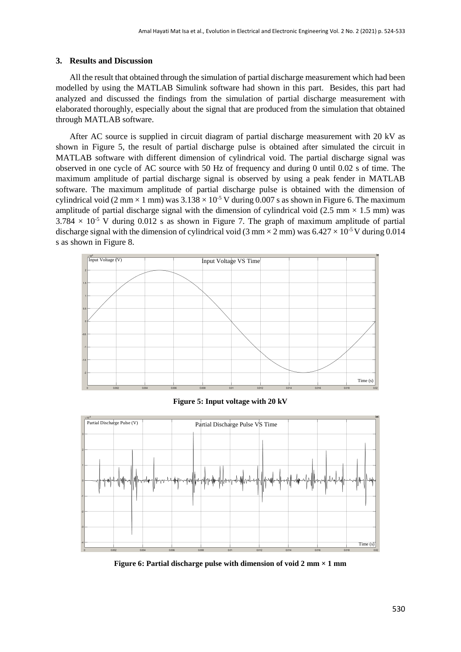#### **3. Results and Discussion**

All the result that obtained through the simulation of partial discharge measurement which had been modelled by using the MATLAB Simulink software had shown in this part. Besides, this part had analyzed and discussed the findings from the simulation of partial discharge measurement with elaborated thoroughly, especially about the signal that are produced from the simulation that obtained through MATLAB software.

After AC source is supplied in circuit diagram of partial discharge measurement with 20 kV as shown in Figure 5, the result of partial discharge pulse is obtained after simulated the circuit in MATLAB software with different dimension of cylindrical void. The partial discharge signal was observed in one cycle of AC source with 50 Hz of frequency and during 0 until 0.02 s of time. The maximum amplitude of partial discharge signal is observed by using a peak fender in MATLAB software. The maximum amplitude of partial discharge pulse is obtained with the dimension of cylindrical void (2 mm  $\times$  1 mm) was  $3.138 \times 10^{-5}$  V during 0.007 s as shown in Figure 6. The maximum amplitude of partial discharge signal with the dimension of cylindrical void (2.5 mm  $\times$  1.5 mm) was  $3.784 \times 10^{-5}$  V during 0.012 s as shown in Figure 7. The graph of maximum amplitude of partial discharge signal with the dimension of cylindrical void (3 mm  $\times$  2 mm) was 6.427  $\times$  10<sup>-5</sup> V during 0.014 s as shown in Figure 8.



**Figure 5: Input voltage with 20 kV**



**Figure 6: Partial discharge pulse with dimension of void 2 mm × 1 mm**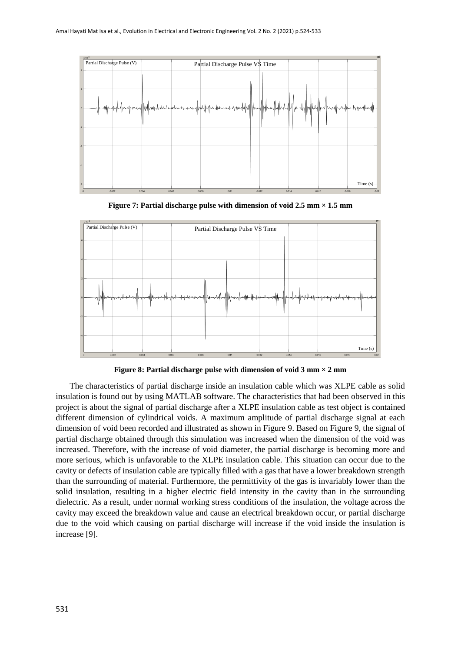

**Figure 7: Partial discharge pulse with dimension of void 2.5 mm × 1.5 mm**



**Figure 8: Partial discharge pulse with dimension of void 3 mm × 2 mm**

The characteristics of partial discharge inside an insulation cable which was XLPE cable as solid insulation is found out by using MATLAB software. The characteristics that had been observed in this project is about the signal of partial discharge after a XLPE insulation cable as test object is contained different dimension of cylindrical voids. A maximum amplitude of partial discharge signal at each dimension of void been recorded and illustrated as shown in Figure 9. Based on Figure 9, the signal of partial discharge obtained through this simulation was increased when the dimension of the void was increased. Therefore, with the increase of void diameter, the partial discharge is becoming more and more serious, which is unfavorable to the XLPE insulation cable. This situation can occur due to the cavity or defects of insulation cable are typically filled with a gas that have a lower breakdown strength than the surrounding of material. Furthermore, the permittivity of the gas is invariably lower than the solid insulation, resulting in a higher electric field intensity in the cavity than in the surrounding dielectric. As a result, under normal working stress conditions of the insulation, the voltage across the cavity may exceed the breakdown value and cause an electrical breakdown occur, or partial discharge due to the void which causing on partial discharge will increase if the void inside the insulation is increase [9].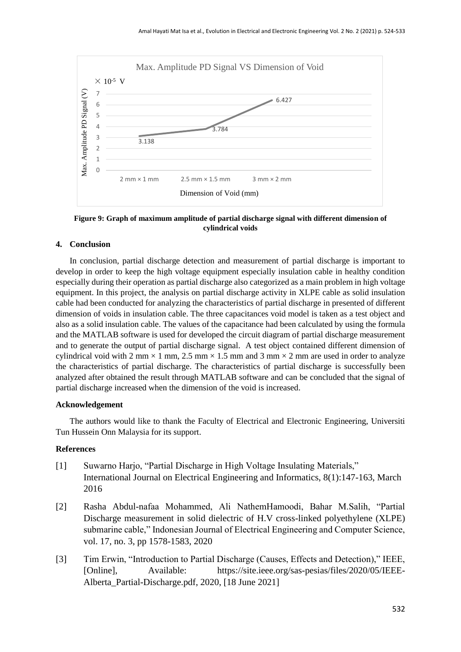

**Figure 9: Graph of maximum amplitude of partial discharge signal with different dimension of cylindrical voids**

#### **4. Conclusion**

In conclusion, partial discharge detection and measurement of partial discharge is important to develop in order to keep the high voltage equipment especially insulation cable in healthy condition especially during their operation as partial discharge also categorized as a main problem in high voltage equipment. In this project, the analysis on partial discharge activity in XLPE cable as solid insulation cable had been conducted for analyzing the characteristics of partial discharge in presented of different dimension of voids in insulation cable. The three capacitances void model is taken as a test object and also as a solid insulation cable. The values of the capacitance had been calculated by using the formula and the MATLAB software is used for developed the circuit diagram of partial discharge measurement and to generate the output of partial discharge signal. A test object contained different dimension of cylindrical void with 2 mm  $\times$  1 mm, 2.5 mm  $\times$  1.5 mm and 3 mm  $\times$  2 mm are used in order to analyze the characteristics of partial discharge. The characteristics of partial discharge is successfully been analyzed after obtained the result through MATLAB software and can be concluded that the signal of partial discharge increased when the dimension of the void is increased.

#### **Acknowledgement**

The authors would like to thank the Faculty of Electrical and Electronic Engineering, Universiti Tun Hussein Onn Malaysia for its support.

#### **References**

- [1] Suwarno Harjo, "Partial Discharge in High Voltage Insulating Materials," International Journal on Electrical Engineering and Informatics, 8(1):147-163, March 2016
- [2] Rasha Abdul-nafaa Mohammed, Ali NathemHamoodi, Bahar M.Salih, "Partial Discharge measurement in solid dielectric of H.V cross-linked polyethylene (XLPE) submarine cable," Indonesian Journal of Electrical Engineering and Computer Science, vol. 17, no. 3, pp 1578-1583, 2020
- [3] Tim Erwin, "Introduction to Partial Discharge (Causes, Effects and Detection)," IEEE, [Online], Available: [https://site.ieee.org/sas-pesias/files/2020/05/IEEE-](https://site.ieee.org/sas-pesias/files/2020/05/IEEE-Alberta_Partial-Discharge.pdf)[Alberta\\_Partial-Discharge.pdf,](https://site.ieee.org/sas-pesias/files/2020/05/IEEE-Alberta_Partial-Discharge.pdf) 2020, [18 June 2021]